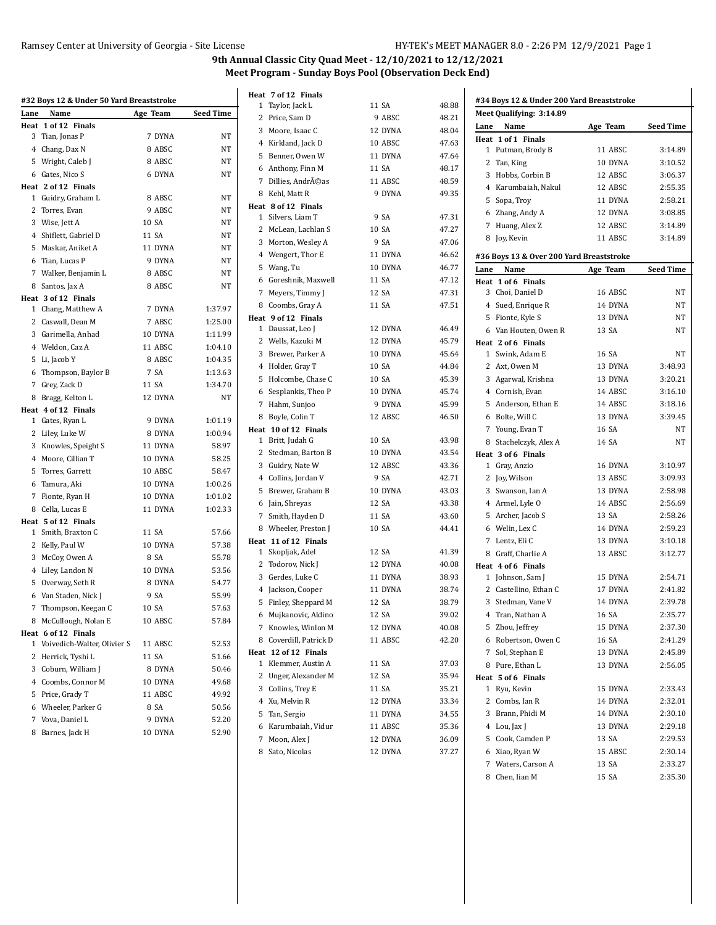|      | #32 Boys 12 & Under 50 Yard Breaststroke |                   |                  | Heat 7 of 12 Finals    |         |       |      | #34 Boys 12 & Under 200 Yard Breaststroke |          |                  |
|------|------------------------------------------|-------------------|------------------|------------------------|---------|-------|------|-------------------------------------------|----------|------------------|
| Lane | Name                                     | Age Team          | <b>Seed Time</b> | 1 Taylor, Jack L       | 11 SA   | 48.88 |      | Meet Qualifying: 3:14.89                  |          |                  |
|      | Heat 1 of 12 Finals                      |                   |                  | 2 Price, Sam D         | 9 ABSC  | 48.21 | Lane | Name                                      | Age Team | <b>Seed Time</b> |
|      | 3 Tian, Jonas P                          | 7 DYNA            | NT               | 3 Moore, Isaac C       | 12 DYNA | 48.04 |      | Heat 1 of 1 Finals                        |          |                  |
|      | 4 Chang, Dax N                           | 8 ABSC            | NT               | 4 Kirkland, Jack D     | 10 ABSC | 47.63 |      | 1 Putman, Brody B                         | 11 ABSC  | 3:14.89          |
|      | 5 Wright, Caleb J                        | 8 ABSC            | NT               | 5 Benner, Owen W       | 11 DYNA | 47.64 |      | 2 Tan, King                               | 10 DYNA  | 3:10.52          |
|      | 6 Gates, Nico S                          | 6 DYNA            | NT               | 6 Anthony, Finn M      | 11 SA   | 48.17 |      | 3 Hobbs, Corbin B                         | 12 ABSC  | 3:06.37          |
|      | Heat 2 of 12 Finals                      |                   |                  | 7 Dillies, Andréas     | 11 ABSC | 48.59 |      | 4 Karumbaiah, Nakul                       | 12 ABSC  | 2:55.35          |
|      | 1 Guidry, Graham L                       | 8 ABSC            | NT               | 8 Kehl, Matt R         | 9 DYNA  | 49.35 |      | 5 Sopa, Troy                              | 11 DYNA  | 2:58.21          |
|      | 2 Torres, Evan                           | 9 ABSC            | NT               | Heat 8 of 12 Finals    |         |       |      | 6 Zhang, Andy A                           | 12 DYNA  | 3:08.85          |
|      | 3 Wise, Jett A                           | 10 SA             | NT               | 1 Silvers, Liam T      | 9 SA    | 47.31 |      | 7 Huang, Alex Z                           | 12 ABSC  | 3:14.89          |
|      | 4 Shiflett, Gabriel D                    | 11 SA             | NT               | 2 McLean, Lachlan S    | 10 SA   | 47.27 |      | 8 Joy, Kevin                              | 11 ABSC  | 3:14.89          |
|      | 5 Maskar, Aniket A                       | 11 DYNA           | NT               | 3 Morton, Wesley A     | 9 SA    | 47.06 |      |                                           |          |                  |
|      | 6 Tian, Lucas P                          | 9 DYNA            | NT               | 4 Wengert, Thor E      | 11 DYNA | 46.62 |      | #36 Boys 13 & Over 200 Yard Breaststroke  |          |                  |
|      | 7 Walker, Benjamin L                     | 8 ABSC            | NT               | 5 Wang, Tu             | 10 DYNA | 46.77 | Lane | Name                                      | Age Team | <b>Seed Time</b> |
|      | 8 Santos, Jax A                          | 8 ABSC            | NT               | 6 Goreshnik, Maxwell   | 11 SA   | 47.12 |      | Heat 1 of 6 Finals                        |          |                  |
|      | Heat 3 of 12 Finals                      |                   |                  | 7 Meyers, Timmy J      | 12 SA   | 47.31 |      | 3 Choi, Daniel D                          | 16 ABSC  | NT               |
|      | 1 Chang, Matthew A                       | 7 DYNA            | 1:37.97          | 8 Coombs, Gray A       | 11 SA   | 47.51 |      | 4 Sued, Enrique R                         | 14 DYNA  | NT               |
|      | 2 Caswall, Dean M                        | 7 ABSC            | 1:25.00          | Heat 9 of 12 Finals    |         |       |      | 5 Fionte, Kyle S                          | 13 DYNA  | NT               |
|      | 3 Garimella, Anhad                       | 10 DYNA           | 1:11.99          | 1 Daussat, Leo J       | 12 DYNA | 46.49 |      | 6 Van Houten, Owen R                      | 13 SA    | NT               |
|      | 4 Weldon, Caz A                          | 11 ABSC           | 1:04.10          | 2 Wells, Kazuki M      | 12 DYNA | 45.79 |      | Heat 2 of 6 Finals                        |          |                  |
|      | 5 Li, Jacob Y                            | 8 ABSC            | 1:04.35          | 3 Brewer, Parker A     | 10 DYNA | 45.64 |      | 1 Swink, Adam E                           | 16 SA    | NT               |
|      | 6 Thompson, Baylor B                     | 7 SA              | 1:13.63          | 4 Holder, Gray T       | 10 SA   | 44.84 |      | 2 Axt, Owen M                             | 13 DYNA  | 3:48.93          |
|      | 7 Grey, Zack D                           | 11 SA             | 1:34.70          | 5 Holcombe, Chase C    | 10 SA   | 45.39 |      | 3 Agarwal, Krishna                        | 13 DYNA  | 3:20.21          |
|      | 8 Bragg, Kelton L                        | 12 DYNA           | NT               | 6 Sesplankis, Theo P   | 10 DYNA | 45.74 |      | 4 Cornish, Evan                           | 14 ABSC  | 3:16.10          |
|      | Heat 4 of 12 Finals                      |                   |                  | 7 Hahm, Sunjoo         | 9 DYNA  | 45.99 |      | 5 Anderson, Ethan E                       | 14 ABSC  | 3:18.16          |
|      | 1 Gates, Ryan L                          | 9 DYNA            | 1:01.19          | 8 Boyle, Colin T       | 12 ABSC | 46.50 |      | 6 Bolte, Will C                           | 13 DYNA  | 3:39.45          |
|      | 2 Liley, Luke W                          | 8 DYNA            | 1:00.94          | Heat 10 of 12 Finals   |         |       |      | 7 Young, Evan T                           | 16 SA    | NT               |
|      | 3 Knowles, Speight S                     | 11 DYNA           | 58.97            | 1 Britt, Judah G       | 10 SA   | 43.98 |      | 8 Stachelczyk, Alex A                     | 14 SA    | NT               |
|      | 4 Moore, Cillian T                       | 10 DYNA           | 58.25            | 2 Stedman, Barton B    | 10 DYNA | 43.54 |      | Heat 3 of 6 Finals                        |          |                  |
|      | 5 Torres, Garrett                        | 10 ABSC           | 58.47            | 3 Guidry, Nate W       | 12 ABSC | 43.36 |      | 1 Gray, Anzio                             | 16 DYNA  | 3:10.97          |
|      | 6 Tamura, Aki                            | 10 DYNA           | 1:00.26          | 4 Collins, Jordan V    | 9 SA    | 42.71 |      | 2 Joy, Wilson                             | 13 ABSC  | 3:09.93          |
|      | 7 Fionte, Ryan H                         | 10 DYNA           | 1:01.02          | 5 Brewer, Graham B     | 10 DYNA | 43.03 |      | 3 Swanson, Ian A                          | 13 DYNA  | 2:58.98          |
|      | 8 Cella, Lucas E                         | 11 DYNA           | 1:02.33          | 6 Jain, Shreyas        | 12 SA   | 43.38 |      | 4 Armel, Lyle O                           | 14 ABSC  | 2:56.69          |
|      | Heat 5 of 12 Finals                      |                   |                  | 7 Smith, Hayden D      | 11 SA   | 43.60 |      | 5 Archer, Jacob S                         | 13 SA    | 2:58.26          |
|      | 1 Smith, Braxton C                       | 11 SA             | 57.66            | 8 Wheeler, Preston J   | 10 SA   | 44.41 |      | 6 Welin, Lex C                            | 14 DYNA  | 2:59.23          |
|      | 2 Kelly, Paul W                          | 10 DYNA           | 57.38            | Heat 11 of 12 Finals   |         |       |      | 7 Lentz, Eli C                            | 13 DYNA  | 3:10.18          |
|      | 3 McCoy, Owen A                          | 8 SA              | 55.78            | 1 Skopljak, Adel       | 12 SA   | 41.39 |      | 8 Graff, Charlie A                        | 13 ABSC  | 3:12.77          |
|      | 4 Liley, Landon N                        | 10 DYNA           | 53.56            | 2 Todorov, Nick J      | 12 DYNA | 40.08 |      | Heat 4 of 6 Finals                        |          |                  |
|      | 5 Overway, Seth R                        | 8 DYNA            | 54.77            | 3 Gerdes, Luke C       | 11 DYNA | 38.93 |      | 1 Johnson, Sam J                          | 15 DYNA  | 2:54.71          |
|      | 6 Van Staden, Nick J                     | 9 SA              | 55.99            | 4 Jackson, Cooper      | 11 DYNA | 38.74 |      | 2 Castellino, Ethan C                     | 17 DYNA  | 2:41.82          |
|      | 7 Thompson, Keegan C                     | 10 SA             | 57.63            | 5 Finley, Sheppard M   | 12 SA   | 38.79 |      | 3 Stedman, Vane V                         | 14 DYNA  | 2:39.78          |
|      | 8 McCullough, Nolan E                    | 10 ABSC           | 57.84            | 6 Mujkanovic, Aldino   | 12 SA   | 39.02 |      | 4 Tran, Nathan A                          | 16 SA    | 2:35.77          |
|      | Heat 6 of 12 Finals                      |                   |                  | 7 Knowles, Winlon M    | 12 DYNA | 40.08 |      | 5 Zhou, Jeffrey                           | 15 DYNA  | 2:37.30          |
|      | 1 Voivedich-Walter, Olivier S            | 11 ABSC           | 52.53            | 8 Coverdill, Patrick D | 11 ABSC | 42.20 |      | 6 Robertson, Owen C                       | 16 SA    | 2:41.29          |
|      | 2 Herrick, Tyshi L                       | 11 SA             | 51.66            | Heat 12 of 12 Finals   |         |       |      | 7 Sol, Stephan E                          | 13 DYNA  | 2:45.89          |
|      | 3 Coburn, William J                      | 8 DYNA            | 50.46            | 1 Klemmer, Austin A    | 11 SA   | 37.03 |      | 8 Pure, Ethan L                           | 13 DYNA  | 2:56.05          |
|      | 4 Coombs, Connor M                       | 10 DYNA           | 49.68            | 2 Unger, Alexander M   | 12 SA   | 35.94 |      | Heat 5 of 6 Finals                        |          |                  |
|      | 5 Price, Grady T                         | 11 ABSC           | 49.92            | 3 Collins, Trey E      | 11 SA   | 35.21 |      | 1 Ryu, Kevin                              | 15 DYNA  | 2:33.43          |
|      | 6 Wheeler, Parker G                      | 8 SA              | 50.56            | 4 Xu, Melvin R         | 12 DYNA | 33.34 |      | 2 Combs, Ian R                            | 14 DYNA  | 2:32.01          |
|      | 7 Vova, Daniel L                         |                   | 52.20            | 5 Tan, Sergio          | 11 DYNA | 34.55 |      | 3 Brann, Phidi M                          | 14 DYNA  | 2:30.10          |
|      | 8 Barnes, Jack H                         | 9 DYNA<br>10 DYNA | 52.90            | 6 Karumbaiah, Vidur    | 11 ABSC | 35.36 |      | 4 Lou, Jax J                              | 13 DYNA  | 2:29.18          |
|      |                                          |                   |                  | 7 Moon, Alex J         | 12 DYNA | 36.09 |      | 5 Cook, Camden P                          | 13 SA    | 2:29.53          |
|      |                                          |                   |                  | 8 Sato, Nicolas        | 12 DYNA | 37.27 |      | 6 Xiao, Ryan W                            | 15 ABSC  | 2:30.14          |
|      |                                          |                   |                  |                        |         |       |      | 7 Waters, Carson A                        | 13 SA    | 2:33.27          |
|      |                                          |                   |                  |                        |         |       |      | 8 Chen, Iian M                            | 15 SA    | 2:35.30          |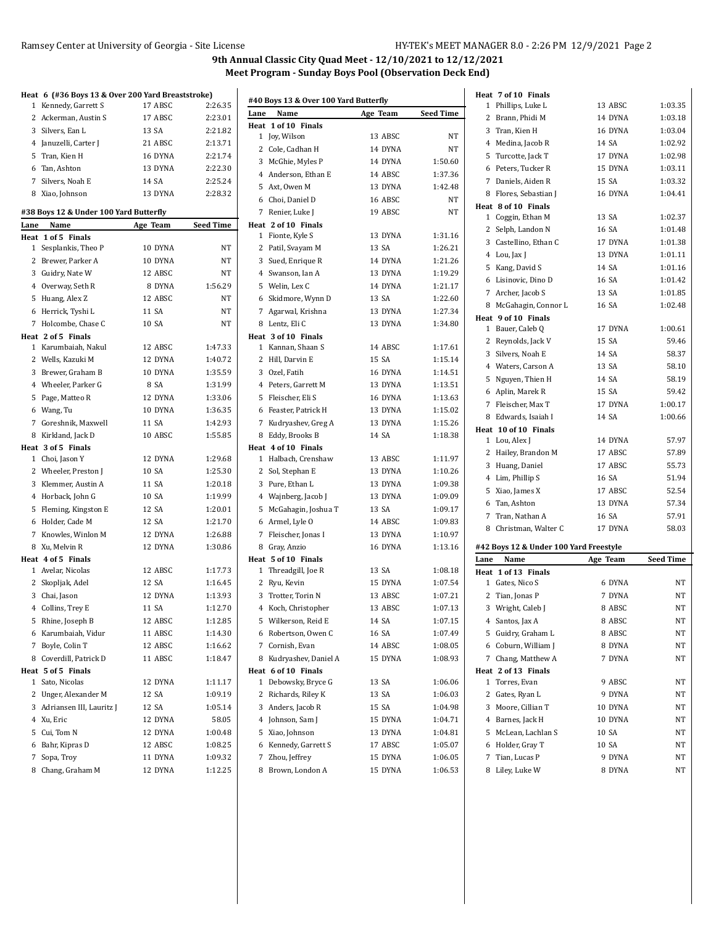#### Ramsey Center at University of Georgia - Site License HY-TEK's MEET MANAGER 8.0 - 2:26 PM 12/9/2021 Page 2

> 57.97 57.89 55.73 51.94

> 57.34 57.91 58.03

|              | Heat 6 (#36 Boys 13 & Over 200 Yard Breaststroke) |          |                  |
|--------------|---------------------------------------------------|----------|------------------|
| 1            | Kennedy, Garrett S                                | 17 ABSC  | 2:26.35          |
|              | 2 Ackerman, Austin S                              | 17 ABSC  | 2:23.01          |
|              | 3 Silvers, Ean L                                  | 13 SA    | 2:21.82          |
|              | 4 Januzelli, Carter J                             | 21 ABSC  | 2:13.71          |
|              | 5 Tran, Kien H                                    | 16 DYNA  | 2:21.74          |
|              | 6 Tan, Ashton                                     | 13 DYNA  | 2:22.30          |
|              | 7 Silvers, Noah E                                 | 14 SA    | 2:25.24          |
|              | 8 Xiao, Johnson                                   | 13 DYNA  | 2:28.32          |
|              |                                                   |          |                  |
|              | #38 Boys 12 & Under 100 Yard Butterfly            |          |                  |
| Lane         | Name                                              | Age Team | <b>Seed Time</b> |
| Heat         | 1 of 5 Finals                                     |          |                  |
|              | 1 Sesplankis, Theo P                              | 10 DYNA  | NΤ               |
|              | 2 Brewer, Parker A                                | 10 DYNA  | NT               |
|              | 3 Guidry, Nate W                                  | 12 ABSC  | NΤ               |
|              | 4 Overway, Seth R                                 | 8 DYNA   | 1:56.29          |
|              | 5 Huang, Alex Z                                   | 12 ABSC  | NΤ               |
|              | 6 Herrick, Tyshi L                                | 11 SA    | NΤ               |
|              | 7 Holcombe, Chase C                               | 10 SA    | NT               |
|              | Heat 2 of 5 Finals                                |          |                  |
|              | 1 Karumbaiah, Nakul                               | 12 ABSC  | 1:47.33          |
|              | 2 Wells, Kazuki M                                 | 12 DYNA  | 1:40.72          |
|              | 3 Brewer, Graham B                                | 10 DYNA  | 1:35.59          |
|              | 4 Wheeler, Parker G                               | 8 SA     | 1:31.99          |
|              | 5 Page, Matteo R                                  | 12 DYNA  | 1:33.06          |
|              | 6 Wang, Tu                                        | 10 DYNA  | 1:36.35          |
|              | 7 Goreshnik, Maxwell                              | 11 SA    | 1:42.93          |
|              | 8 Kirkland, Jack D                                | 10 ABSC  | 1:55.85          |
|              | Heat 3 of 5 Finals                                |          |                  |
|              | 1 Choi, Jason Y                                   | 12 DYNA  | 1:29.68          |
|              | 2 Wheeler, Preston J                              | 10 SA    | 1:25.30          |
|              | 3 Klemmer, Austin A                               | 11 SA    | 1:20.18          |
|              | 4 Horback, John G                                 | 10 SA    | 1:19.99          |
|              | 5 Fleming, Kingston E                             | 12 SA    | 1:20.01          |
|              | 6 Holder, Cade M                                  | 12 SA    | 1:21.70          |
|              | 7 Knowles, Winlon M                               | 12 DYNA  | 1:26.88          |
|              | 8 Xu, Melvin R                                    | 12 DYNA  | 1:30.86          |
|              | Heat 4 of 5 Finals                                |          |                  |
|              | 1 Avelar, Nicolas                                 | 12 ABSC  | 1:17.73          |
|              | 2 Skopljak, Adel                                  | 12 SA    | 1:16.45          |
|              | 3 Chai, Jason                                     | 12 DYNA  | 1:13.93          |
|              | 4 Collins, Trey E                                 | 11 SA    | 1:12.70          |
|              | 5 Rhine, Joseph B                                 | 12 ABSC  | 1:12.85          |
|              | 6 Karumbaiah, Vidur                               | 11 ABSC  | 1:14.30          |
| 7            | Boyle, Colin T                                    | 12 ABSC  | 1:16.62          |
|              | 8 Coverdill, Patrick D                            | 11 ABSC  | 1:18.47          |
|              | Heat 5 of 5 Finals                                |          |                  |
| $\mathbf{1}$ | Sato, Nicolas                                     | 12 DYNA  | 1:11.17          |
| $\mathbf{2}$ | Unger, Alexander M                                | 12 SA    | 1:09.19          |
|              | 3 Adriansen III, Lauritz J                        | 12 SA    | 1:05.14          |
|              | 4 Xu, Eric                                        | 12 DYNA  | 58.05            |
|              | 5 Cui, Tom N                                      | 12 DYNA  | 1:00.48          |
|              | 6 Bahr, Kipras D                                  | 12 ABSC  | 1:08.25          |
| 7            | Sopa, Troy                                        | 11 DYNA  | 1:09.32          |
|              | 8 Chang, Graham M                                 | 12 DYNA  | 1:12.25          |

|      | #40 Boys 13 & Over 100 Yard Butterfly |          |                  |      | Heat 7 of 10 Finals                        |          |           |
|------|---------------------------------------|----------|------------------|------|--------------------------------------------|----------|-----------|
| Lane | Name                                  | Age Team | <b>Seed Time</b> |      | 1 Phillips, Luke L                         | 13 ABSC  | 1:03.35   |
|      | Heat 1 of 10 Finals                   |          |                  |      | 2 Brann, Phidi M                           | 14 DYNA  | 1:03.18   |
|      | 1 Joy, Wilson                         | 13 ABSC  | NT               |      | 3 Tran, Kien H                             | 16 DYNA  | 1:03.04   |
|      | 2 Cole, Cadhan H                      | 14 DYNA  | NΤ               |      | 4 Medina, Jacob R                          | 14 SA    | 1:02.92   |
|      | 3 McGhie, Myles P                     | 14 DYNA  | 1:50.60          |      | 5 Turcotte, Jack T                         | 17 DYNA  | 1:02.98   |
|      | 4 Anderson, Ethan E                   | 14 ABSC  | 1:37.36          |      | 6 Peters, Tucker R                         | 15 DYNA  | 1:03.11   |
|      | 5 Axt, Owen M                         | 13 DYNA  | 1:42.48          |      | 7 Daniels, Aiden R                         | 15 SA    | 1:03.32   |
|      | 6 Choi, Daniel D                      | 16 ABSC  | NT               |      | 8 Flores, Sebastian J                      | 16 DYNA  | 1:04.41   |
|      | 7 Renier, Luke J                      | 19 ABSC  | NT               |      | Heat 8 of 10 Finals                        | 13 SA    | 1:02.37   |
|      | Heat 2 of 10 Finals                   |          |                  |      | 1 Coggin, Ethan M                          | 16 SA    | 1:01.48   |
|      | 1 Fionte, Kyle S                      | 13 DYNA  | 1:31.16          |      | 2 Selph, Landon N<br>3 Castellino, Ethan C | 17 DYNA  | 1:01.38   |
|      | 2 Patil, Svayam M                     | 13 SA    | 1:26.21          |      | 4 Lou, Jax J                               | 13 DYNA  | 1:01.11   |
|      | 3 Sued, Enrique R                     | 14 DYNA  | 1:21.26          |      |                                            |          |           |
|      | 4 Swanson, Ian A                      | 13 DYNA  | 1:19.29          |      | 5 Kang, David S                            | 14 SA    | 1:01.16   |
|      | 5 Welin, Lex C                        | 14 DYNA  | 1:21.17          |      | 6 Lisinovic, Dino D                        | 16 SA    | 1:01.42   |
|      | 6 Skidmore, Wynn D                    | 13 SA    | 1:22.60          |      | 7 Archer, Jacob S                          | 13 SA    | 1:01.85   |
|      | 7 Agarwal, Krishna                    | 13 DYNA  | 1:27.34          |      | 8 McGahagin, Connor L                      | 16 SA    | 1:02.48   |
|      | 8 Lentz, Eli C                        | 13 DYNA  | 1:34.80          |      | Heat 9 of 10 Finals<br>1 Bauer, Caleb Q    | 17 DYNA  | 1:00.61   |
|      | Heat 3 of 10 Finals                   |          |                  |      | 2 Reynolds, Jack V                         | 15 SA    | 59.46     |
|      | 1 Kannan, Shaan S                     | 14 ABSC  | 1:17.61          |      | 3 Silvers, Noah E                          |          | 58.37     |
|      | 2 Hill, Darvin E                      | 15 SA    | 1:15.14          |      |                                            | 14 SA    |           |
|      | 3 Ozel, Fatih                         | 16 DYNA  | 1:14.51          | 4    | Waters, Carson A                           | 13 SA    | 58.10     |
|      | 4 Peters, Garrett M                   | 13 DYNA  | 1:13.51          |      | 5 Nguyen, Thien H                          | 14 SA    | 58.19     |
|      | 5 Fleischer, Eli S                    | 16 DYNA  | 1:13.63          |      | 6 Aplin, Marek R                           | 15 SA    | 59.42     |
|      | 6 Feaster, Patrick H                  | 13 DYNA  | 1:15.02          |      | 7 Fleischer, Max T                         | 17 DYNA  | 1:00.17   |
|      | 7 Kudryashev, Greg A                  | 13 DYNA  | 1:15.26          |      | 8 Edwards, Isaiah I                        | 14 SA    | 1:00.66   |
|      | 8 Eddy, Brooks B                      | 14 SA    | 1:18.38          |      | Heat 10 of 10 Finals<br>1 Lou, Alex J      | 14 DYNA  | 57.97     |
|      | Heat 4 of 10 Finals                   |          |                  |      | 2 Hailey, Brandon M                        | 17 ABSC  | 57.89     |
|      | 1 Halbach, Crenshaw                   | 13 ABSC  | 1:11.97          |      | 3 Huang, Daniel                            | 17 ABSC  | 55.73     |
|      | 2 Sol, Stephan E                      | 13 DYNA  | 1:10.26          |      | 4 Lim, Phillip S                           | 16 SA    | 51.94     |
|      | 3 Pure, Ethan L                       | 13 DYNA  | 1:09.38          |      | 5 Xiao, James X                            | 17 ABSC  | 52.54     |
|      | 4 Wajnberg, Jacob J                   | 13 DYNA  | 1:09.09          |      |                                            | 13 DYNA  | 57.34     |
|      | 5 McGahagin, Joshua T                 | 13 SA    | 1:09.17          |      | 6 Tan, Ashton<br>7 Tran, Nathan A          | 16 SA    | 57.91     |
|      | 6 Armel, Lyle O                       | 14 ABSC  | 1:09.83          |      |                                            |          |           |
|      | 7 Fleischer, Jonas I                  | 13 DYNA  | 1:10.97          |      | 8 Christman, Walter C                      | 17 DYNA  | 58.03     |
|      | 8 Gray, Anzio                         | 16 DYNA  | 1:13.16          |      | #42 Boys 12 & Under 100 Yard Freestyle     |          |           |
|      | Heat 5 of 10 Finals                   |          |                  | Lane | Name                                       | Age Team | Seed Time |
|      | 1 Threadgill, Joe R                   | 13 SA    | 1:08.18          |      | Heat 1 of 13 Finals                        |          |           |
|      | 2 Ryu, Kevin                          | 15 DYNA  | 1:07.54          |      | 1 Gates, Nico S                            | 6 DYNA   | NT        |
|      | 3 Trotter, Torin N                    | 13 ABSC  | 1:07.21          |      | 2 Tian, Jonas P                            | 7 DYNA   | NT        |
|      | 4 Koch, Christopher                   | 13 ABSC  | 1:07.13          |      | 3 Wright, Caleb J                          | 8 ABSC   | NT        |
|      | 5 Wilkerson, Reid E                   | 14 SA    | 1:07.15          |      | 4 Santos, Jax A                            | 8 ABSC   | NT        |
|      | 6 Robertson, Owen C                   | 16 SA    | 1:07.49          | 5    | Guidry, Graham L                           | 8 ABSC   | NT        |
|      | 7 Cornish, Evan                       | 14 ABSC  | 1:08.05          | 6    | Coburn, William J                          | 8 DYNA   | NT        |
|      | 8 Kudryashev, Daniel A                | 15 DYNA  | 1:08.93          |      | 7 Chang, Matthew A                         | 7 DYNA   | NT        |
|      | Heat 6 of 10 Finals                   |          |                  |      | Heat 2 of 13 Finals                        |          |           |
|      | 1 Debowsky, Bryce G                   | 13 SA    | 1:06.06          | 1    | Torres, Evan                               | 9 ABSC   | ΝT        |
|      | 2 Richards, Riley K                   | 13 SA    | 1:06.03          | 2    | Gates, Ryan L                              | 9 DYNA   | NT        |
|      | 3 Anders, Jacob R                     | 15 SA    | 1:04.98          | 3    | Moore, Cillian T                           | 10 DYNA  | NT        |
|      | 4 Johnson, Sam J                      | 15 DYNA  | 1:04.71          | 4    | Barnes, Jack H                             | 10 DYNA  | NT        |
|      | 5 Xiao, Johnson                       | 13 DYNA  | 1:04.81          | 5    | McLean, Lachlan S                          | 10 SA    | NT        |
|      | 6 Kennedy, Garrett S                  | 17 ABSC  | 1:05.07          | 6    | Holder, Gray T                             | 10 SA    | ΝT        |
|      | 7 Zhou, Jeffrey                       | 15 DYNA  | 1:06.05          | 7    | Tian, Lucas P                              | 9 DYNA   | NT        |
|      | 8 Brown, London A                     | 15 DYNA  | 1:06.53          |      | 8 Liley, Luke W                            | 8 DYNA   | NT        |
|      |                                       |          |                  |      |                                            |          |           |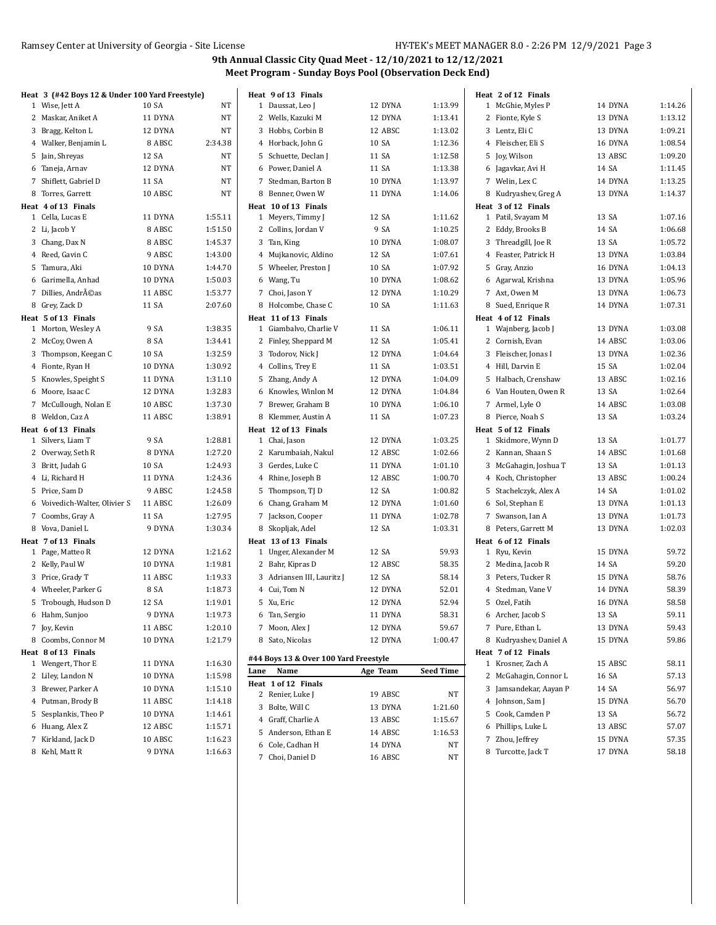| Heat 3 (#42 Boys 12 & Under 100 Yard Freestyle) |         |         | Heat 9 of 13 Finals                     |          |           | Heat 2 of 12 Finals    |         |         |
|-------------------------------------------------|---------|---------|-----------------------------------------|----------|-----------|------------------------|---------|---------|
| 1 Wise, Jett A                                  | 10 SA   | NT      | 1 Daussat, Leo J                        | 12 DYNA  | 1:13.99   | 1 McGhie, Myles P      | 14 DYNA | 1:14.26 |
| 2 Maskar, Aniket A                              | 11 DYNA | NT      | 2 Wells, Kazuki M                       | 12 DYNA  | 1:13.41   | 2 Fionte, Kyle S       | 13 DYNA | 1:13.12 |
| 3 Bragg, Kelton L                               | 12 DYNA | NT      | 3 Hobbs, Corbin B                       | 12 ABSC  | 1:13.02   | 3 Lentz, Eli C         | 13 DYNA | 1:09.21 |
| 4 Walker, Benjamin L                            | 8 ABSC  | 2:34.38 | 4 Horback, John G                       | 10 SA    | 1:12.36   | 4 Fleischer, Eli S     | 16 DYNA | 1:08.54 |
| 5 Jain, Shreyas                                 | 12 SA   | NT      | 5 Schuette, Declan J                    | 11 SA    | 1:12.58   | 5 Joy, Wilson          | 13 ABSC | 1:09.20 |
| 6 Taneja, Arnav                                 | 12 DYNA | NT      | 6 Power, Daniel A                       | 11 SA    | 1:13.38   | 6 Jagavkar, Avi H      | 14 SA   | 1:11.45 |
| 7 Shiflett, Gabriel D                           | 11 SA   | NT      | 7 Stedman, Barton B                     | 10 DYNA  | 1:13.97   | 7 Welin, Lex C         | 14 DYNA | 1:13.25 |
| 8 Torres, Garrett                               | 10 ABSC | NT      | 8 Benner, Owen W                        | 11 DYNA  | 1:14.06   | 8 Kudryashev, Greg A   | 13 DYNA | 1:14.37 |
| Heat 4 of 13 Finals                             |         |         | Heat 10 of 13 Finals                    |          |           | Heat 3 of 12 Finals    |         |         |
| 1 Cella, Lucas E                                | 11 DYNA | 1:55.11 | 1 Meyers, Timmy J                       | 12 SA    | 1:11.62   | 1 Patil, Svayam M      | 13 SA   | 1:07.16 |
| 2 Li, Jacob Y                                   | 8 ABSC  | 1:51.50 | 2 Collins, Jordan V                     | 9 SA     | 1:10.25   | 2 Eddy, Brooks B       | 14 SA   | 1:06.68 |
| 3 Chang, Dax N                                  | 8 ABSC  | 1:45.37 | 3 Tan, King                             | 10 DYNA  | 1:08.07   | 3 Threadgill, Joe R    | 13 SA   | 1:05.72 |
| 4 Reed, Gavin C                                 | 9 ABSC  | 1:43.00 | 4 Mujkanovic, Aldino                    | 12 SA    | 1:07.61   | 4 Feaster, Patrick H   | 13 DYNA | 1:03.84 |
| 5 Tamura, Aki                                   | 10 DYNA | 1:44.70 | 5 Wheeler, Preston J                    | 10 SA    | 1:07.92   | 5 Gray, Anzio          | 16 DYNA | 1:04.13 |
| 6 Garimella, Anhad                              | 10 DYNA | 1:50.03 | 6 Wang, Tu                              | 10 DYNA  | 1:08.62   | 6 Agarwal, Krishna     | 13 DYNA | 1:05.96 |
| 7 Dillies, Andréas                              | 11 ABSC | 1:53.77 | 7 Choi, Jason Y                         | 12 DYNA  | 1:10.29   | 7 Axt, Owen M          | 13 DYNA | 1:06.73 |
| 8 Grey, Zack D                                  | 11 SA   | 2:07.60 | 8 Holcombe, Chase C                     | 10 SA    | 1:11.63   | 8 Sued, Enrique R      | 14 DYNA | 1:07.31 |
| Heat 5 of 13 Finals                             |         |         | Heat 11 of 13 Finals                    |          |           | Heat 4 of 12 Finals    |         |         |
| 1 Morton, Wesley A                              | 9 SA    | 1:38.35 | 1 Giambalvo, Charlie V                  | 11 SA    | 1:06.11   | 1 Wajnberg, Jacob J    | 13 DYNA | 1:03.08 |
| 2 McCoy, Owen A                                 | 8 SA    | 1:34.41 | 2 Finley, Sheppard M                    | 12 SA    | 1:05.41   | 2 Cornish, Evan        | 14 ABSC | 1:03.06 |
| 3 Thompson, Keegan C                            | 10 SA   | 1:32.59 | 3 Todorov, Nick J                       | 12 DYNA  | 1:04.64   | 3 Fleischer, Jonas I   | 13 DYNA | 1:02.36 |
| 4 Fionte, Ryan H                                | 10 DYNA | 1:30.92 | 4 Collins, Trey E                       | 11 SA    | 1:03.51   | 4 Hill, Darvin E       | 15 SA   | 1:02.04 |
| 5 Knowles, Speight S                            | 11 DYNA | 1:31.10 | 5 Zhang, Andy A                         | 12 DYNA  | 1:04.09   | 5 Halbach, Crenshaw    | 13 ABSC | 1:02.16 |
| 6 Moore, Isaac C                                | 12 DYNA | 1:32.83 | 6 Knowles, Winlon M                     | 12 DYNA  | 1:04.84   | 6 Van Houten, Owen R   | 13 SA   | 1:02.64 |
| 7 McCullough, Nolan E                           | 10 ABSC | 1:37.30 | 7 Brewer, Graham B                      | 10 DYNA  | 1:06.10   | 7 Armel, Lyle O        | 14 ABSC | 1:03.08 |
| 8 Weldon, Caz A                                 | 11 ABSC | 1:38.91 | 8 Klemmer, Austin A                     | 11 SA    | 1:07.23   | 8 Pierce, Noah S       | 13 SA   | 1:03.24 |
| Heat 6 of 13 Finals                             |         |         | Heat 12 of 13 Finals                    |          |           | Heat 5 of 12 Finals    |         |         |
| 1 Silvers, Liam T                               | 9 SA    | 1:28.81 | 1 Chai, Jason                           | 12 DYNA  | 1:03.25   | 1 Skidmore, Wynn D     | 13 SA   | 1:01.77 |
| 2 Overway, Seth R                               | 8 DYNA  | 1:27.20 | 2 Karumbaiah, Nakul                     | 12 ABSC  | 1:02.66   | 2 Kannan, Shaan S      | 14 ABSC | 1:01.68 |
| 3 Britt, Judah G                                | 10 SA   | 1:24.93 | 3 Gerdes, Luke C                        | 11 DYNA  | 1:01.10   | 3 McGahagin, Joshua T  | 13 SA   | 1:01.13 |
| 4 Li, Richard H                                 | 11 DYNA | 1:24.36 | 4 Rhine, Joseph B                       | 12 ABSC  | 1:00.70   | 4 Koch, Christopher    | 13 ABSC | 1:00.24 |
| 5 Price, Sam D                                  | 9 ABSC  | 1:24.58 | 5 Thompson, TJ D                        | 12 SA    | 1:00.82   | 5 Stachelczyk, Alex A  | 14 SA   | 1:01.02 |
| 6 Voivedich-Walter, Olivier S                   | 11 ABSC | 1:26.09 | 6 Chang, Graham M                       | 12 DYNA  | 1:01.60   | 6 Sol, Stephan E       | 13 DYNA | 1:01.13 |
| 7 Coombs, Gray A                                | 11 SA   | 1:27.95 | 7 Jackson, Cooper                       | 11 DYNA  | 1:02.78   | 7 Swanson, Ian A       | 13 DYNA | 1:01.73 |
| 8 Vova, Daniel L                                | 9 DYNA  | 1:30.34 | 8 Skopljak, Adel                        | 12 SA    | 1:03.31   | 8 Peters, Garrett M    | 13 DYNA | 1:02.03 |
| Heat 7 of 13 Finals                             |         |         | Heat 13 of 13 Finals                    |          |           | Heat 6 of 12 Finals    |         |         |
| 1 Page, Matteo R                                | 12 DYNA | 1:21.62 | 1 Unger, Alexander M                    | 12 SA    | 59.93     | 1 Ryu, Kevin           | 15 DYNA | 59.72   |
| 2 Kelly, Paul W                                 | 10 DYNA | 1:19.81 | 2 Bahr, Kipras D                        | 12 ABSC  | 58.35     | 2 Medina, Jacob R      | 14 SA   | 59.20   |
| 3 Price, Grady T                                | 11 ABSC | 1:19.33 | 3 Adriansen III, Lauritz J              | 12 SA    | 58.14     | 3 Peters, Tucker R     | 15 DYNA | 58.76   |
| 4 Wheeler, Parker G                             | 8 SA    | 1:18.73 | 4 Cui, Tom N                            | 12 DYNA  | 52.01     | 4 Stedman, Vane V      | 14 DYNA | 58.39   |
| 5 Trobough, Hudson D                            | 12 SA   | 1:19.01 | 5 Xu, Eric                              | 12 DYNA  | 52.94     | 5 Ozel, Fatih          | 16 DYNA | 58.58   |
| 6 Hahm, Sunjoo                                  | 9 DYNA  | 1:19.73 | 6 Tan, Sergio                           | 11 DYNA  | 58.31     | 6 Archer, Jacob S      | 13 SA   | 59.11   |
| 7 Joy, Kevin                                    | 11 ABSC | 1:20.10 | 7 Moon, Alex J                          | 12 DYNA  | 59.67     | 7 Pure, Ethan L        | 13 DYNA | 59.43   |
| 8 Coombs, Connor M                              | 10 DYNA | 1:21.79 | 8 Sato, Nicolas                         | 12 DYNA  | 1:00.47   | 8 Kudryashev, Daniel A | 15 DYNA | 59.86   |
| Heat 8 of 13 Finals                             |         |         |                                         |          |           | Heat 7 of 12 Finals    |         |         |
| 1 Wengert, Thor E                               | 11 DYNA | 1:16.30 | #44 Boys 13 & Over 100 Yard Freestyle   |          |           | 1 Krosner, Zach A      | 15 ABSC | 58.11   |
| 2 Liley, Landon N                               | 10 DYNA | 1:15.98 | Lane Name                               | Age Team | Seed Time | 2 McGahagin, Connor L  | 16 SA   | 57.13   |
| 3 Brewer, Parker A                              | 10 DYNA | 1:15.10 | Heat 1 of 12 Finals<br>2 Renier, Luke J |          | NT        | 3 Jamsandekar, Aayan P | 14 SA   | 56.97   |
| 4 Putman, Brody B                               | 11 ABSC | 1:14.18 | 3 Bolte, Will C                         | 19 ABSC  |           | 4 Johnson, Sam J       | 15 DYNA | 56.70   |
| 5 Sesplankis, Theo P                            | 10 DYNA | 1:14.61 |                                         | 13 DYNA  | 1:21.60   | 5 Cook, Camden P       | 13 SA   | 56.72   |
| 6 Huang, Alex Z                                 | 12 ABSC | 1:15.71 | 4 Graff, Charlie A                      | 13 ABSC  | 1:15.67   | 6 Phillips, Luke L     | 13 ABSC | 57.07   |
| 7 Kirkland, Jack D                              | 10 ABSC | 1:16.23 | 5 Anderson, Ethan E                     | 14 ABSC  | 1:16.53   | 7 Zhou, Jeffrey        | 15 DYNA | 57.35   |
| 8 Kehl, Matt R                                  | 9 DYNA  | 1:16.63 | 6 Cole, Cadhan H                        | 14 DYNA  | NT        | 8 Turcotte, Jack T     | 17 DYNA | 58.18   |
|                                                 |         |         | 7 Choi, Daniel D                        | 16 ABSC  | NT        |                        |         |         |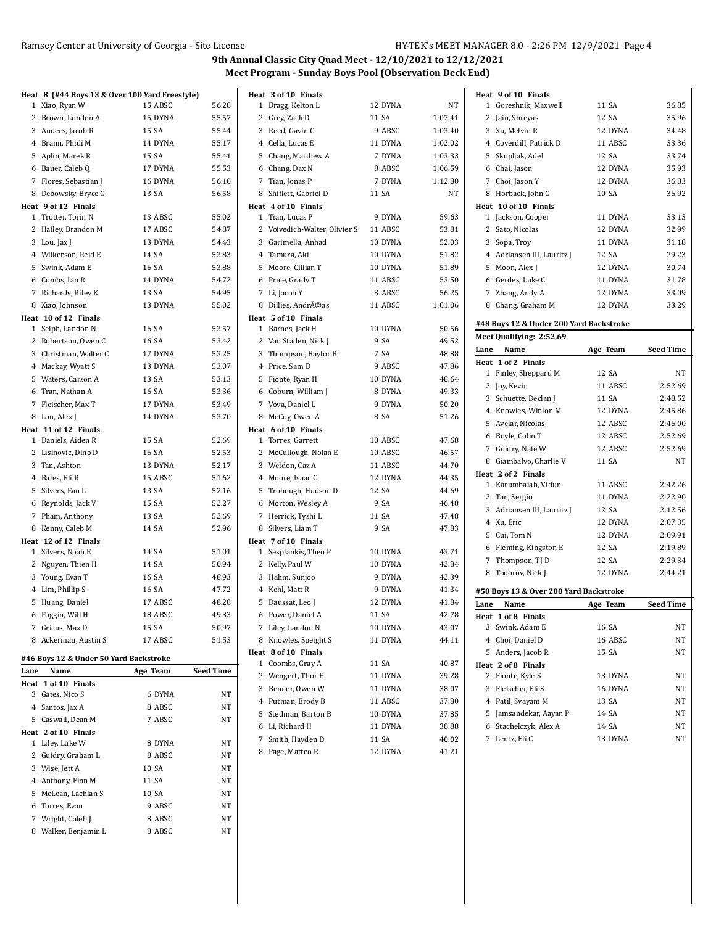|      | Heat 8 (#44 Boys 13 & Over 100 Yard Freestyle) |                              |       | Heat 3 of 10 Finals           |         |         |      | Heat 9 of 10 Finals                     |          |                  |
|------|------------------------------------------------|------------------------------|-------|-------------------------------|---------|---------|------|-----------------------------------------|----------|------------------|
|      | 1 Xiao, Ryan W                                 | 15 ABSC                      | 56.28 | 1 Bragg, Kelton L             | 12 DYNA | NT      |      | 1 Goreshnik, Maxwell                    | 11 SA    | 36.85            |
|      | 2 Brown, London A                              | 15 DYNA                      | 55.57 | 2 Grey, Zack D                | 11 SA   | 1:07.41 |      | 2 Jain, Shreyas                         | 12 SA    | 35.96            |
|      | 3 Anders, Jacob R                              | 15 SA                        | 55.44 | 3 Reed, Gavin C               | 9 ABSC  | 1:03.40 |      | 3 Xu, Melvin R                          | 12 DYNA  | 34.48            |
|      | 4 Brann, Phidi M                               | 14 DYNA                      | 55.17 | 4 Cella, Lucas E              | 11 DYNA | 1:02.02 |      | 4 Coverdill, Patrick D                  | 11 ABSC  | 33.36            |
|      | 5 Aplin, Marek R                               | 15 SA                        | 55.41 | 5 Chang, Matthew A            | 7 DYNA  | 1:03.33 |      | 5 Skopljak, Adel                        | 12 SA    | 33.74            |
|      | 6 Bauer, Caleb Q                               | 17 DYNA                      | 55.53 | 6 Chang, Dax N                | 8 ABSC  | 1:06.59 |      | 6 Chai, Jason                           | 12 DYNA  | 35.93            |
|      | 7 Flores, Sebastian J                          | 16 DYNA                      | 56.10 | 7 Tian, Jonas P               | 7 DYNA  | 1:12.80 |      | 7 Choi, Jason Y                         | 12 DYNA  | 36.83            |
|      | 8 Debowsky, Bryce G                            | 13 SA                        | 56.58 | 8 Shiflett, Gabriel D         | 11 SA   | NT      |      | 8 Horback, John G                       | 10 SA    | 36.92            |
|      | Heat 9 of 12 Finals                            |                              |       | Heat 4 of 10 Finals           |         |         |      | Heat 10 of 10 Finals                    |          |                  |
|      | 1 Trotter, Torin N                             | 13 ABSC                      | 55.02 | 1 Tian, Lucas P               | 9 DYNA  | 59.63   |      | 1 Jackson, Cooper                       | 11 DYNA  | 33.13            |
|      | 2 Hailey, Brandon M                            | 17 ABSC                      | 54.87 | 2 Voivedich-Walter, Olivier S | 11 ABSC | 53.81   |      | 2 Sato, Nicolas                         | 12 DYNA  | 32.99            |
|      | 3 Lou, Jax J                                   | 13 DYNA                      | 54.43 | 3 Garimella, Anhad            | 10 DYNA | 52.03   |      | 3 Sopa, Troy                            | 11 DYNA  | 31.18            |
|      | 4 Wilkerson, Reid E                            | 14 SA                        | 53.83 | 4 Tamura, Aki                 | 10 DYNA | 51.82   |      | 4 Adriansen III, Lauritz J              | 12 SA    | 29.23            |
|      | 5 Swink, Adam E                                | 16 SA                        | 53.88 | 5 Moore, Cillian T            | 10 DYNA | 51.89   |      | 5 Moon, Alex J                          | 12 DYNA  | 30.74            |
|      | 6 Combs, Ian R                                 | 14 DYNA                      | 54.72 | 6 Price, Grady T              | 11 ABSC | 53.50   |      | 6 Gerdes, Luke C                        | 11 DYNA  | 31.78            |
|      | 7 Richards, Riley K                            | 13 SA                        | 54.95 | 7 Li, Jacob Y                 | 8 ABSC  | 56.25   |      | 7 Zhang, Andy A                         | 12 DYNA  | 33.09            |
|      | 8 Xiao, Johnson                                | 13 DYNA                      | 55.02 | 8 Dillies, AndrA©as           | 11 ABSC | 1:01.06 |      | 8 Chang, Graham M                       | 12 DYNA  | 33.29            |
|      | Heat 10 of 12 Finals                           |                              |       | Heat 5 of 10 Finals           |         |         |      | #48 Boys 12 & Under 200 Yard Backstroke |          |                  |
|      | 1 Selph, Landon N                              | 16 SA                        | 53.57 | 1 Barnes, Jack H              | 10 DYNA | 50.56   |      |                                         |          |                  |
|      | 2 Robertson, Owen C                            | 16 SA                        | 53.42 | 2 Van Staden, Nick J          | 9 SA    | 49.52   |      | Meet Qualifying: 2:52.69                |          |                  |
|      | 3 Christman, Walter C                          | 17 DYNA                      | 53.25 | 3 Thompson, Baylor B          | 7 SA    | 48.88   | Lane | Name                                    | Age Team | <b>Seed Time</b> |
|      | 4 Mackay, Wyatt S                              | 13 DYNA                      | 53.07 | 4 Price, Sam D                | 9 ABSC  | 47.86   |      | Heat 1 of 2 Finals                      |          |                  |
|      | 5 Waters, Carson A                             | 13 SA                        | 53.13 | 5 Fionte, Ryan H              | 10 DYNA | 48.64   |      | 1 Finley, Sheppard M                    | 12 SA    | NT               |
|      | 6 Tran, Nathan A                               | 16 SA                        | 53.36 | 6 Coburn, William J           | 8 DYNA  | 49.33   |      | 2 Joy, Kevin                            | 11 ABSC  | 2:52.69          |
|      | 7 Fleischer, Max T                             | 17 DYNA                      | 53.49 | 7 Vova, Daniel L              | 9 DYNA  | 50.20   |      | 3 Schuette, Declan J                    | 11 SA    | 2:48.52          |
|      | 8 Lou, Alex J                                  | 14 DYNA                      | 53.70 | 8 McCoy, Owen A               | 8 SA    | 51.26   |      | 4 Knowles, Winlon M                     | 12 DYNA  | 2:45.86          |
|      | Heat 11 of 12 Finals                           |                              |       | Heat 6 of 10 Finals           |         |         |      | 5 Avelar, Nicolas                       | 12 ABSC  | 2:46.00          |
|      | 1 Daniels, Aiden R                             | 15 SA                        | 52.69 | 1 Torres, Garrett             | 10 ABSC | 47.68   |      | 6 Boyle, Colin T                        | 12 ABSC  | 2:52.69          |
|      | 2 Lisinovic, Dino D                            | 16 SA                        | 52.53 | 2 McCullough, Nolan E         | 10 ABSC | 46.57   |      | 7 Guidry, Nate W                        | 12 ABSC  | 2:52.69          |
|      | 3 Tan, Ashton                                  | 13 DYNA                      | 52.17 | 3 Weldon, Caz A               | 11 ABSC | 44.70   |      | 8 Giambalvo, Charlie V                  | 11 SA    | <b>NT</b>        |
|      | 4 Bates, Eli R                                 | 15 ABSC                      | 51.62 | 4 Moore, Isaac C              | 12 DYNA | 44.35   |      | Heat 2 of 2 Finals                      |          |                  |
|      | 5 Silvers, Ean L                               | 13 SA                        | 52.16 | 5 Trobough, Hudson D          | 12 SA   | 44.69   |      | 1 Karumbaiah, Vidur                     | 11 ABSC  | 2:42.26          |
|      | 6 Reynolds, Jack V                             | 15 SA                        | 52.27 | 6 Morton, Wesley A            | 9 SA    | 46.48   |      | 2 Tan, Sergio                           | 11 DYNA  | 2:22.90          |
|      | 7 Pham, Anthony                                | 13 SA                        | 52.69 | 7 Herrick, Tyshi L            | 11 SA   | 47.48   |      | 3 Adriansen III, Lauritz J              | 12 SA    | 2:12.56          |
|      | 8 Kenny, Caleb M                               | 14 SA                        | 52.96 | 8 Silvers, Liam T             | 9 SA    | 47.83   |      | 4 Xu, Eric                              | 12 DYNA  | 2:07.35          |
|      | Heat 12 of 12 Finals                           |                              |       | Heat 7 of 10 Finals           |         |         |      | 5 Cui, Tom N                            | 12 DYNA  | 2:09.91          |
|      | 1 Silvers, Noah E                              | 14 SA                        | 51.01 | 1 Sesplankis, Theo P          | 10 DYNA | 43.71   |      | 6 Fleming, Kingston E                   | 12 SA    | 2:19.89          |
|      | 2 Nguyen, Thien H                              | 14 SA                        | 50.94 | 2 Kelly, Paul W               | 10 DYNA | 42.84   |      | 7 Thompson, TJ D                        | 12 SA    | 2:29.34          |
|      | 3 Young, Evan T                                | 16 SA                        | 48.93 | 3 Hahm, Sunjoo                | 9 DYNA  | 42.39   |      | 8 Todorov, Nick J                       | 12 DYNA  | 2:44.21          |
|      | 4 Lim, Phillip S                               | 16 SA                        | 47.72 | 4 Kehl, Matt R                | 9 DYNA  | 41.34   |      | #50 Boys 13 & Over 200 Yard Backstroke  |          |                  |
|      | 5 Huang, Daniel                                | 17 ABSC                      | 48.28 | 5 Daussat, Leo                | 12 DYNA | 41.84   | Lane | Name                                    | Age Team | <b>Seed Time</b> |
|      | 6 Foggin, Will H                               | 18 ABSC                      | 49.33 | 6 Power, Daniel A             | 11 SA   | 42.78   |      | Heat 1 of 8 Finals                      |          |                  |
|      | 7 Gricus, Max D                                | 15 SA                        | 50.97 | 7 Liley, Landon N             | 10 DYNA | 43.07   |      | 3 Swink, Adam E                         | 16 SA    | NT               |
|      | 8 Ackerman, Austin S                           | 17 ABSC                      | 51.53 | 8 Knowles, Speight S          | 11 DYNA | 44.11   |      | 4 Choi, Daniel D                        | 16 ABSC  | NT               |
|      |                                                |                              |       | Heat 8 of 10 Finals           |         |         |      | 5 Anders, Jacob R                       | 15 SA    | NT               |
|      | #46 Boys 12 & Under 50 Yard Backstroke         |                              |       | 1 Coombs, Gray A              | 11 SA   | 40.87   |      | Heat 2 of 8 Finals                      |          |                  |
| Lane | Name                                           | <b>Seed Time</b><br>Age Team |       | 2 Wengert, Thor E             | 11 DYNA | 39.28   |      | 2 Fionte, Kyle S                        | 13 DYNA  | NT               |
|      | Heat 1 of 10 Finals                            |                              |       | 3 Benner, Owen W              | 11 DYNA | 38.07   |      | 3 Fleischer, Eli S                      | 16 DYNA  | NT               |
|      | 3 Gates, Nico S                                | 6 DYNA                       | NT    | 4 Putman, Brody B             | 11 ABSC | 37.80   |      | 4 Patil, Svayam M                       | 13 SA    | NT               |
|      | 4 Santos, Jax A                                | 8 ABSC                       | NT    | 5 Stedman, Barton B           | 10 DYNA | 37.85   |      | 5 Jamsandekar, Aayan P                  | 14 SA    | NT               |
|      | 5 Caswall, Dean M                              | 7 ABSC                       | NT    | 6 Li, Richard H               | 11 DYNA | 38.88   |      | 6 Stachelczyk, Alex A                   | 14 SA    | NT               |
|      | Heat 2 of 10 Finals                            |                              |       | 7 Smith, Hayden D             | 11 SA   | 40.02   |      | 7 Lentz, Eli C                          | 13 DYNA  | NT               |
|      | 1 Liley, Luke W                                | 8 DYNA                       | NT    | 8 Page, Matteo R              | 12 DYNA | 41.21   |      |                                         |          |                  |
|      | 2 Guidry, Graham L                             | 8 ABSC                       | NT    |                               |         |         |      |                                         |          |                  |
|      | 3 Wise, Jett A                                 | 10 SA                        | NT    |                               |         |         |      |                                         |          |                  |
|      | 4 Anthony, Finn M                              | 11 SA                        | NT    |                               |         |         |      |                                         |          |                  |
|      | 5 McLean, Lachlan S                            | 10 SA                        | NT    |                               |         |         |      |                                         |          |                  |
|      | 6 Torres, Evan                                 | 9 ABSC                       | NT    |                               |         |         |      |                                         |          |                  |
|      | 7 Wright, Caleb J                              | 8 ABSC                       | NT    |                               |         |         |      |                                         |          |                  |
|      | 8 Walker, Benjamin L                           | 8 ABSC                       | NT    |                               |         |         |      |                                         |          |                  |
|      |                                                |                              |       |                               |         |         |      |                                         |          |                  |